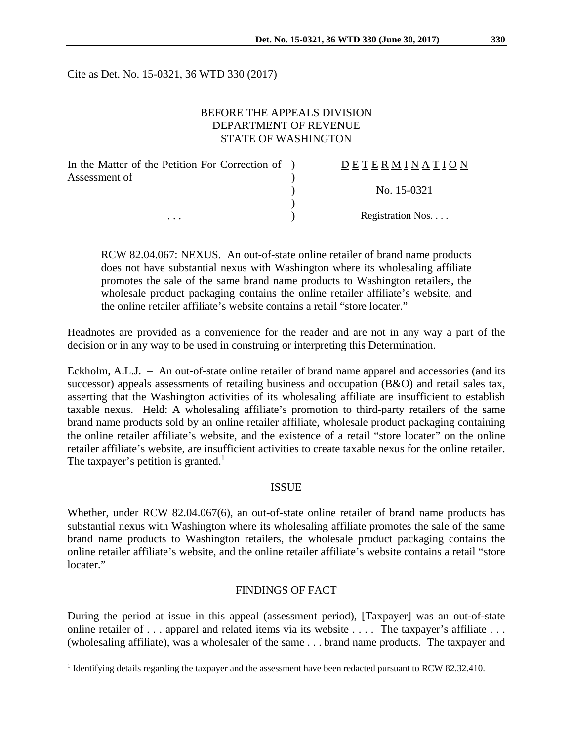Cite as Det. No. 15-0321, 36 WTD 330 (2017)

# BEFORE THE APPEALS DIVISION DEPARTMENT OF REVENUE STATE OF WASHINGTON

| In the Matter of the Petition For Correction of ) | DETERMINATION    |
|---------------------------------------------------|------------------|
| Assessment of                                     |                  |
|                                                   | No. 15-0321      |
|                                                   |                  |
| $\cdots$                                          | Registration Nos |

RCW 82.04.067: NEXUS. An out-of-state online retailer of brand name products does not have substantial nexus with Washington where its wholesaling affiliate promotes the sale of the same brand name products to Washington retailers, the wholesale product packaging contains the online retailer affiliate's website, and the online retailer affiliate's website contains a retail "store locater."

Headnotes are provided as a convenience for the reader and are not in any way a part of the decision or in any way to be used in construing or interpreting this Determination.

Eckholm, A.L.J. – An out-of-state online retailer of brand name apparel and accessories (and its successor) appeals assessments of retailing business and occupation (B&O) and retail sales tax, asserting that the Washington activities of its wholesaling affiliate are insufficient to establish taxable nexus. Held: A wholesaling affiliate's promotion to third-party retailers of the same brand name products sold by an online retailer affiliate, wholesale product packaging containing the online retailer affiliate's website, and the existence of a retail "store locater" on the online retailer affiliate's website, are insufficient activities to create taxable nexus for the online retailer. The taxpayer's petition is granted.<sup>1</sup>

### ISSUE

Whether, under RCW 82.04.067(6), an out-of-state online retailer of brand name products has substantial nexus with Washington where its wholesaling affiliate promotes the sale of the same brand name products to Washington retailers, the wholesale product packaging contains the online retailer affiliate's website, and the online retailer affiliate's website contains a retail "store locater."

#### FINDINGS OF FACT

During the period at issue in this appeal (assessment period), [Taxpayer] was an out-of-state online retailer of . . . apparel and related items via its website . . . . The taxpayer's affiliate . . . . (wholesaling affiliate), was a wholesaler of the same . . . brand name products. The taxpayer and

<sup>&</sup>lt;sup>1</sup> Identifying details regarding the taxpayer and the assessment have been redacted pursuant to RCW 82.32.410.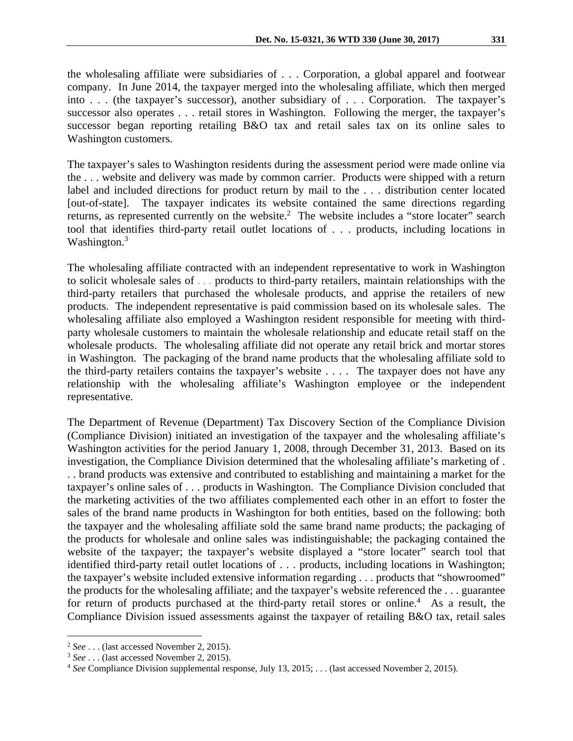the wholesaling affiliate were subsidiaries of . . . Corporation, a global apparel and footwear company. In June 2014, the taxpayer merged into the wholesaling affiliate, which then merged into . . . (the taxpayer's successor), another subsidiary of . . . Corporation. The taxpayer's successor also operates . . . retail stores in Washington. Following the merger, the taxpayer's successor began reporting retailing B&O tax and retail sales tax on its online sales to Washington customers.

The taxpayer's sales to Washington residents during the assessment period were made online via the . . . website and delivery was made by common carrier. Products were shipped with a return label and included directions for product return by mail to the . . . distribution center located [out-of-state]. The taxpayer indicates its website contained the same directions regarding returns, as represented currently on the website.<sup>2</sup> The website includes a "store locater" search tool that identifies third-party retail outlet locations of . . . products, including locations in Washington.<sup>3</sup>

The wholesaling affiliate contracted with an independent representative to work in Washington to solicit wholesale sales of . . . products to third-party retailers, maintain relationships with the third-party retailers that purchased the wholesale products, and apprise the retailers of new products. The independent representative is paid commission based on its wholesale sales. The wholesaling affiliate also employed a Washington resident responsible for meeting with thirdparty wholesale customers to maintain the wholesale relationship and educate retail staff on the wholesale products. The wholesaling affiliate did not operate any retail brick and mortar stores in Washington. The packaging of the brand name products that the wholesaling affiliate sold to the third-party retailers contains the taxpayer's website . . . . The taxpayer does not have any relationship with the wholesaling affiliate's Washington employee or the independent representative.

The Department of Revenue (Department) Tax Discovery Section of the Compliance Division (Compliance Division) initiated an investigation of the taxpayer and the wholesaling affiliate's Washington activities for the period January 1, 2008, through December 31, 2013. Based on its investigation, the Compliance Division determined that the wholesaling affiliate's marketing of . . . brand products was extensive and contributed to establishing and maintaining a market for the taxpayer's online sales of . . . products in Washington. The Compliance Division concluded that the marketing activities of the two affiliates complemented each other in an effort to foster the sales of the brand name products in Washington for both entities, based on the following: both the taxpayer and the wholesaling affiliate sold the same brand name products; the packaging of the products for wholesale and online sales was indistinguishable; the packaging contained the website of the taxpayer; the taxpayer's website displayed a "store locater" search tool that identified third-party retail outlet locations of . . . products, including locations in Washington; the taxpayer's website included extensive information regarding . . . products that "showroomed" the products for the wholesaling affiliate; and the taxpayer's website referenced the . . . guarantee for return of products purchased at the third-party retail stores or online.<sup>4</sup> As a result, the Compliance Division issued assessments against the taxpayer of retailing B&O tax, retail sales

<sup>2</sup> *See* . . . (last accessed November 2, 2015). 3 *See* . . . (last accessed November 2, 2015). 4

*See* Compliance Division supplemental response, July 13, 2015; . . . (last accessed November 2, 2015).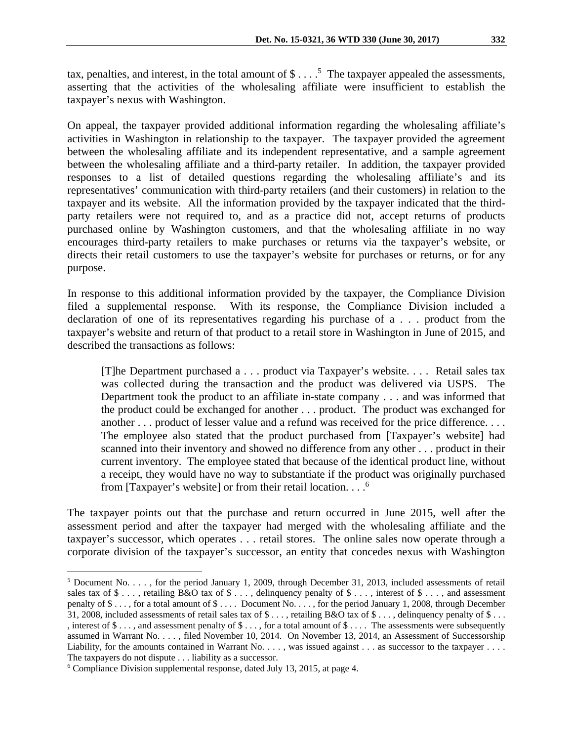tax, penalties, and interest, in the total amount of  $\$\dots$ <sup>5</sup> The taxpayer appealed the assessments, asserting that the activities of the wholesaling affiliate were insufficient to establish the taxpayer's nexus with Washington.

On appeal, the taxpayer provided additional information regarding the wholesaling affiliate's activities in Washington in relationship to the taxpayer. The taxpayer provided the agreement between the wholesaling affiliate and its independent representative, and a sample agreement between the wholesaling affiliate and a third-party retailer. In addition, the taxpayer provided responses to a list of detailed questions regarding the wholesaling affiliate's and its representatives' communication with third-party retailers (and their customers) in relation to the taxpayer and its website. All the information provided by the taxpayer indicated that the thirdparty retailers were not required to, and as a practice did not, accept returns of products purchased online by Washington customers, and that the wholesaling affiliate in no way encourages third-party retailers to make purchases or returns via the taxpayer's website, or directs their retail customers to use the taxpayer's website for purchases or returns, or for any purpose.

In response to this additional information provided by the taxpayer, the Compliance Division filed a supplemental response. With its response, the Compliance Division included a declaration of one of its representatives regarding his purchase of a . . . product from the taxpayer's website and return of that product to a retail store in Washington in June of 2015, and described the transactions as follows:

[T]he Department purchased a . . . product via Taxpayer's website. . . . Retail sales tax was collected during the transaction and the product was delivered via USPS. The Department took the product to an affiliate in-state company . . . and was informed that the product could be exchanged for another . . . product. The product was exchanged for another . . . product of lesser value and a refund was received for the price difference. . . . The employee also stated that the product purchased from [Taxpayer's website] had scanned into their inventory and showed no difference from any other . . . product in their current inventory. The employee stated that because of the identical product line, without a receipt, they would have no way to substantiate if the product was originally purchased from [Taxpayer's website] or from their retail location.  $\ldots$ <sup>6</sup>

The taxpayer points out that the purchase and return occurred in June 2015, well after the assessment period and after the taxpayer had merged with the wholesaling affiliate and the taxpayer's successor, which operates . . . retail stores. The online sales now operate through a corporate division of the taxpayer's successor, an entity that concedes nexus with Washington

<sup>&</sup>lt;sup>5</sup> Document No. . . . , for the period January 1, 2009, through December 31, 2013, included assessments of retail sales tax of \$ . . . , retailing B&O tax of \$ . . . , delinquency penalty of \$ . . . , interest of \$ . . . , and assessment penalty of \$ . . . , for a total amount of \$ . . . . Document No. . . . , for the period January 1, 2008, through December 31, 2008, included assessments of retail sales tax of  $\$\dots$ , retailing B&O tax of  $\$\dots$ , delinquency penalty of  $\$\dots$ , interest of \$ . . . , and assessment penalty of \$ . . . , for a total amount of \$ . . . . The assessments were subsequently assumed in Warrant No. . . . , filed November 10, 2014. On November 13, 2014, an Assessment of Successorship Liability, for the amounts contained in Warrant No.  $\dots$ , was issued against  $\dots$  as successor to the taxpayer  $\dots$ . The taxpayers do not dispute . . . liability as a successor.

Compliance Division supplemental response, dated July 13, 2015, at page 4.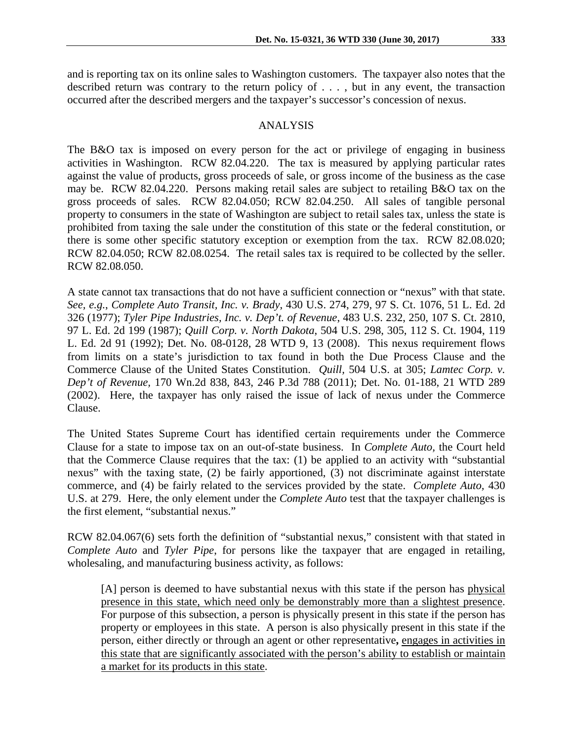and is reporting tax on its online sales to Washington customers. The taxpayer also notes that the described return was contrary to the return policy of . . . , but in any event, the transaction occurred after the described mergers and the taxpayer's successor's concession of nexus.

## ANALYSIS

The B&O tax is imposed on every person for the act or privilege of engaging in business activities in Washington. RCW 82.04.220. The tax is measured by applying particular rates against the value of products, gross proceeds of sale, or gross income of the business as the case may be. RCW 82.04.220. Persons making retail sales are subject to retailing B&O tax on the gross proceeds of sales. RCW 82.04.050; RCW 82.04.250. All sales of tangible personal property to consumers in the state of Washington are subject to retail sales tax, unless the state is prohibited from taxing the sale under the constitution of this state or the federal constitution, or there is some other specific statutory exception or exemption from the tax. RCW 82.08.020; RCW 82.04.050; RCW 82.08.0254. The retail sales tax is required to be collected by the seller. RCW 82.08.050.

A state cannot tax transactions that do not have a sufficient connection or "nexus" with that state. *See, e.g.*, *Complete Auto Transit, Inc. v. Brady*, 430 U.S. 274, 279, 97 S. Ct. 1076, 51 L. Ed. 2d 326 (1977); *Tyler Pipe Industries, Inc. v. Dep't. of Revenue*, 483 U.S. 232, 250, 107 S. Ct. 2810, 97 L. Ed. 2d 199 (1987); *Quill Corp. v. North Dakota*, 504 U.S. 298, 305, 112 S. Ct. 1904, 119 L. Ed. 2d 91 (1992); Det. No. 08-0128, 28 WTD 9, 13 (2008). This nexus requirement flows from limits on a state's jurisdiction to tax found in both the Due Process Clause and the Commerce Clause of the United States Constitution. *Quill,* 504 U.S. at 305; *Lamtec Corp. v. Dep't of Revenue,* 170 Wn.2d 838, 843, 246 P.3d 788 (2011); Det. No. 01-188, 21 WTD 289 (2002). Here, the taxpayer has only raised the issue of lack of nexus under the Commerce Clause.

The United States Supreme Court has identified certain requirements under the Commerce Clause for a state to impose tax on an out-of-state business. In *Complete Auto,* the Court held that the Commerce Clause requires that the tax: (1) be applied to an activity with "substantial nexus" with the taxing state, (2) be fairly apportioned, (3) not discriminate against interstate commerce, and (4) be fairly related to the services provided by the state. *Complete Auto,* 430 U.S. at 279. Here, the only element under the *Complete Auto* test that the taxpayer challenges is the first element, "substantial nexus."

RCW 82.04.067(6) sets forth the definition of "substantial nexus," consistent with that stated in *Complete Auto* and *Tyler Pipe*, for persons like the taxpayer that are engaged in retailing, wholesaling, and manufacturing business activity, as follows:

[A] person is deemed to have substantial nexus with this state if the person has physical presence in this state, which need only be demonstrably more than a slightest presence. For purpose of this subsection, a person is physically present in this state if the person has property or employees in this state. A person is also physically present in this state if the person, either directly or through an agent or other representative**,** engages in activities in this state that are significantly associated with the person's ability to establish or maintain a market for its products in this state.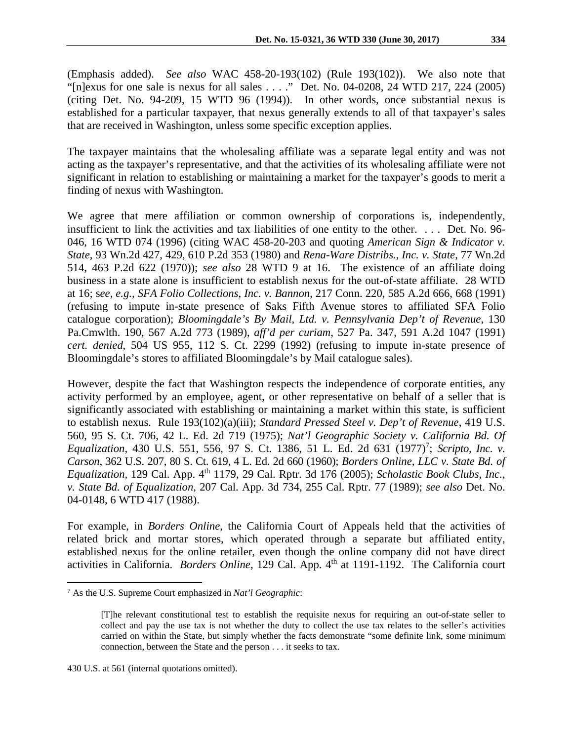(Emphasis added). *See also* WAC 458-20-193(102) (Rule 193(102)). We also note that "[n]exus for one sale is nexus for all sales . . . ." Det. No. 04-0208, 24 WTD 217, 224 (2005) (citing Det. No. 94-209, 15 WTD 96 (1994)). In other words, once substantial nexus is established for a particular taxpayer, that nexus generally extends to all of that taxpayer's sales that are received in Washington, unless some specific exception applies.

The taxpayer maintains that the wholesaling affiliate was a separate legal entity and was not acting as the taxpayer's representative, and that the activities of its wholesaling affiliate were not significant in relation to establishing or maintaining a market for the taxpayer's goods to merit a finding of nexus with Washington.

We agree that mere affiliation or common ownership of corporations is, independently, insufficient to link the activities and tax liabilities of one entity to the other. . . . Det. No. 96- 046, 16 WTD 074 (1996) (citing WAC 458-20-203 and quoting *American Sign & Indicator v. State*, 93 Wn.2d 427, 429, 610 P.2d 353 (1980) and *Rena-Ware Distribs., Inc. v. State*, 77 Wn.2d 514, 463 P.2d 622 (1970)); *see also* 28 WTD 9 at 16. The existence of an affiliate doing business in a state alone is insufficient to establish nexus for the out-of-state affiliate. 28 WTD at 16; s*ee, e.g., SFA Folio Collections, Inc. v. Bannon*, 217 Conn. 220, 585 A.2d 666, 668 (1991) (refusing to impute in-state presence of Saks Fifth Avenue stores to affiliated SFA Folio catalogue corporation); *Bloomingdale's By Mail, Ltd. v. Pennsylvania Dep't of Revenue*, 130 Pa.Cmwlth. 190, 567 A.2d 773 (1989), *aff'd per curiam*, 527 Pa. 347, 591 A.2d 1047 (1991) *cert. denied*, 504 US 955, 112 S. Ct. 2299 (1992) (refusing to impute in-state presence of Bloomingdale's stores to affiliated Bloomingdale's by Mail catalogue sales).

However, despite the fact that Washington respects the independence of corporate entities, any activity performed by an employee, agent, or other representative on behalf of a seller that is significantly associated with establishing or maintaining a market within this state, is sufficient to establish nexus. Rule 193(102)(a)(iii); *Standard Pressed Steel v. Dep't of Revenue*, 419 U.S. 560, 95 S. Ct. 706, 42 L. Ed. 2d 719 (1975); *Nat'l Geographic Society v. California Bd. Of Equalization,* 430 U.S. 551, 556, 97 S. Ct. 1386, 51 L. Ed. 2d 631 (1977)<sup>7</sup>; *Scripto, Inc. v. Carson*, 362 U.S. 207, 80 S. Ct. 619, 4 L. Ed. 2d 660 (1960); *Borders Online, LLC v. State Bd. of Equalization*, 129 Cal. App. 4<sup>th</sup> 1179, 29 Cal. Rptr. 3d 176 (2005); *Scholastic Book Clubs, Inc.*, *v. State Bd. of Equalization,* 207 Cal. App. 3d 734, 255 Cal. Rptr. 77 (1989); *see also* Det. No. 04-0148, 6 WTD 417 (1988).

For example, in *Borders Online*, the California Court of Appeals held that the activities of related brick and mortar stores, which operated through a separate but affiliated entity, established nexus for the online retailer, even though the online company did not have direct activities in California. *Borders Online*, 129 Cal. App. 4<sup>th</sup> at 1191-1192. The California court

<sup>7</sup> As the U.S. Supreme Court emphasized in *Nat'l Geographic*:

<sup>[</sup>T]he relevant constitutional test to establish the requisite nexus for requiring an out-of-state seller to collect and pay the use tax is not whether the duty to collect the use tax relates to the seller's activities carried on within the State, but simply whether the facts demonstrate "some definite link, some minimum connection, between the State and the person . . . it seeks to tax.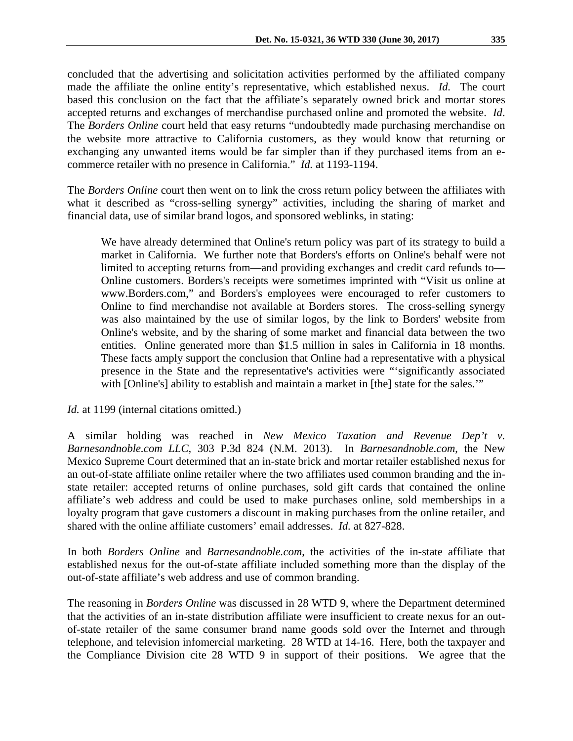concluded that the advertising and solicitation activities performed by the affiliated company made the affiliate the online entity's representative, which established nexus. *Id.* The court based this conclusion on the fact that the affiliate's separately owned brick and mortar stores accepted returns and exchanges of merchandise purchased online and promoted the website. *Id*. The *Borders Online* court held that easy returns "undoubtedly made purchasing merchandise on the website more attractive to California customers, as they would know that returning or exchanging any unwanted items would be far simpler than if they purchased items from an ecommerce retailer with no presence in California." *Id.* at 1193-1194.

The *Borders Online* court then went on to link the cross return policy between the affiliates with what it described as "cross-selling synergy" activities, including the sharing of market and financial data, use of similar brand logos, and sponsored weblinks, in stating:

We have already determined that Online's return policy was part of its strategy to build a market in California. We further note that Borders's efforts on Online's behalf were not limited to accepting returns from—and providing exchanges and credit card refunds to— Online customers. Borders's receipts were sometimes imprinted with "Visit us online at www.Borders.com," and Borders's employees were encouraged to refer customers to Online to find merchandise not available at Borders stores. The cross-selling synergy was also maintained by the use of similar logos, by the link to Borders' website from Online's website, and by the sharing of some market and financial data between the two entities. Online generated more than \$1.5 million in sales in California in 18 months. These facts amply support the conclusion that Online had a representative with a physical presence in the State and the representative's activities were "'significantly associated with [Online's] ability to establish and maintain a market in [the] state for the sales.""

*Id.* at 1199 (internal citations omitted.)

A similar holding was reached in *New Mexico Taxation and Revenue Dep't v. Barnesandnoble.com LLC*, 303 P.3d 824 (N.M. 2013). In *Barnesandnoble.com*, the New Mexico Supreme Court determined that an in-state brick and mortar retailer established nexus for an out-of-state affiliate online retailer where the two affiliates used common branding and the instate retailer: accepted returns of online purchases, sold gift cards that contained the online affiliate's web address and could be used to make purchases online, sold memberships in a loyalty program that gave customers a discount in making purchases from the online retailer, and shared with the online affiliate customers' email addresses. *Id.* at 827-828.

In both *Borders Online* and *Barnesandnoble.com*, the activities of the in-state affiliate that established nexus for the out-of-state affiliate included something more than the display of the out-of-state affiliate's web address and use of common branding.

The reasoning in *Borders Online* was discussed in 28 WTD 9, where the Department determined that the activities of an in-state distribution affiliate were insufficient to create nexus for an outof-state retailer of the same consumer brand name goods sold over the Internet and through telephone, and television infomercial marketing. 28 WTD at 14-16. Here, both the taxpayer and the Compliance Division cite 28 WTD 9 in support of their positions. We agree that the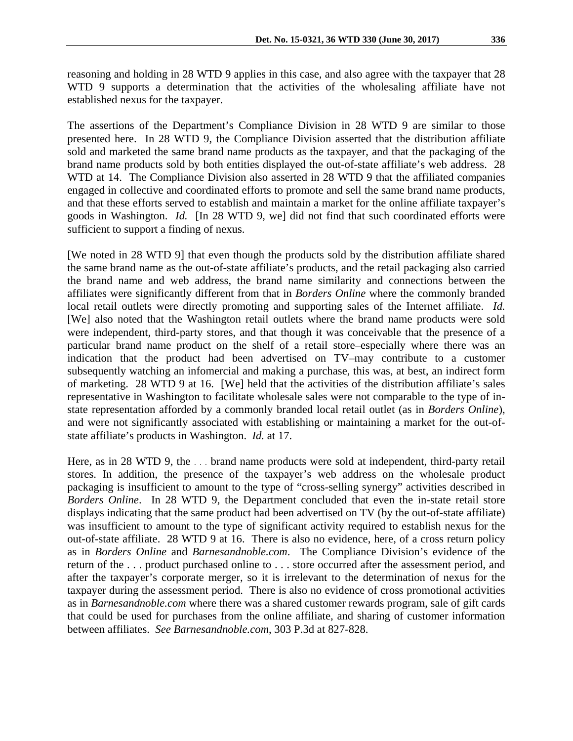reasoning and holding in 28 WTD 9 applies in this case, and also agree with the taxpayer that 28 WTD 9 supports a determination that the activities of the wholesaling affiliate have not established nexus for the taxpayer.

The assertions of the Department's Compliance Division in 28 WTD 9 are similar to those presented here. In 28 WTD 9, the Compliance Division asserted that the distribution affiliate sold and marketed the same brand name products as the taxpayer, and that the packaging of the brand name products sold by both entities displayed the out-of-state affiliate's web address. 28 WTD at 14. The Compliance Division also asserted in 28 WTD 9 that the affiliated companies engaged in collective and coordinated efforts to promote and sell the same brand name products, and that these efforts served to establish and maintain a market for the online affiliate taxpayer's goods in Washington. *Id.* [In 28 WTD 9, we] did not find that such coordinated efforts were sufficient to support a finding of nexus.

[We noted in 28 WTD 9] that even though the products sold by the distribution affiliate shared the same brand name as the out-of-state affiliate's products, and the retail packaging also carried the brand name and web address, the brand name similarity and connections between the affiliates were significantly different from that in *Borders Online* where the commonly branded local retail outlets were directly promoting and supporting sales of the Internet affiliate. *Id.* [We] also noted that the Washington retail outlets where the brand name products were sold were independent, third-party stores, and that though it was conceivable that the presence of a particular brand name product on the shelf of a retail store–especially where there was an indication that the product had been advertised on TV–may contribute to a customer subsequently watching an infomercial and making a purchase, this was, at best, an indirect form of marketing. 28 WTD 9 at 16. [We] held that the activities of the distribution affiliate's sales representative in Washington to facilitate wholesale sales were not comparable to the type of instate representation afforded by a commonly branded local retail outlet (as in *Borders Online*), and were not significantly associated with establishing or maintaining a market for the out-ofstate affiliate's products in Washington. *Id.* at 17.

Here, as in 28 WTD 9, the ... brand name products were sold at independent, third-party retail stores. In addition, the presence of the taxpayer's web address on the wholesale product packaging is insufficient to amount to the type of "cross-selling synergy" activities described in *Borders Online*. In 28 WTD 9, the Department concluded that even the in-state retail store displays indicating that the same product had been advertised on TV (by the out-of-state affiliate) was insufficient to amount to the type of significant activity required to establish nexus for the out-of-state affiliate. 28 WTD 9 at 16. There is also no evidence, here, of a cross return policy as in *Borders Online* and *Barnesandnoble.com*. The Compliance Division's evidence of the return of the . . . product purchased online to . . . store occurred after the assessment period, and after the taxpayer's corporate merger, so it is irrelevant to the determination of nexus for the taxpayer during the assessment period. There is also no evidence of cross promotional activities as in *Barnesandnoble.com* where there was a shared customer rewards program, sale of gift cards that could be used for purchases from the online affiliate, and sharing of customer information between affiliates. *See Barnesandnoble.com*, 303 P.3d at 827-828.